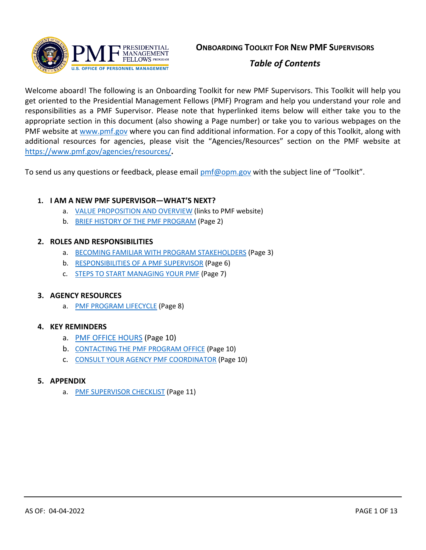

# *Table of Contents*

Welcome aboard! The following is an Onboarding Toolkit for new PMF Supervisors. This Toolkit will help you get oriented to the Presidential Management Fellows (PMF) Program and help you understand your role and responsibilities as a PMF Supervisor. Please note that hyperlinked items below will either take you to the appropriate section in this document (also showing a Page number) or take you to various webpages on the PMF website at [www.pmf.gov](http://www.pmf.gov/) where you can find additional information. For a copy of this Toolkit, along with additional resources for agencies, please visit the "Agencies/Resources" section on the PMF website at <https://www.pmf.gov/agencies/resources/>**.**

To send us any questions or feedback, please email [pmf@opm.gov](mailto:pmf@opm.gov) with the subject line of "Toolkit".

### **1. I AM A NEW PMF SUPERVISOR—WHAT'S NEXT?**

- a. [VALUE PROPOSITION AND](https://www.pmf.gov/agencies/value-proposition-and-overview/) OVERVIEW (links to PMF website)
- b. [BRIEF HISTORY OF THE PMF PROGRAM](#page-1-0) (Page 2)

### **2. ROLES AND RESPONSIBILITIES**

- a. BECOMING [FAMILIAR WITH PROGRAM](#page-2-0) STAKEHOLDERS (Page 3)
- b. [RESPONSIBILITIES OF A](#page-5-0) PMF SUPERVISOR (Page 6)
- c. [STEPS TO START MANAGING YOUR PMF](#page-6-0) (Page 7)

### **3. AGENCY RESOURCES**

a. [PMF PROGRAM LIFECYCLE](#page-7-0) (Page 8)

### **4. KEY REMINDERS**

- a. [PMF OFFICE HOURS](#page-9-0) (Page 10)
- b. [CONTACTING THE PMF PROGRAM OFFICE](#page-9-1) (Page 10)
- c. [CONSULT YOUR AGENCY PMF COORDINATOR](#page-9-2) (Page 10)

### **5. APPENDIX**

a. PMF SUPERVISOR CHECKLIST (Page 11)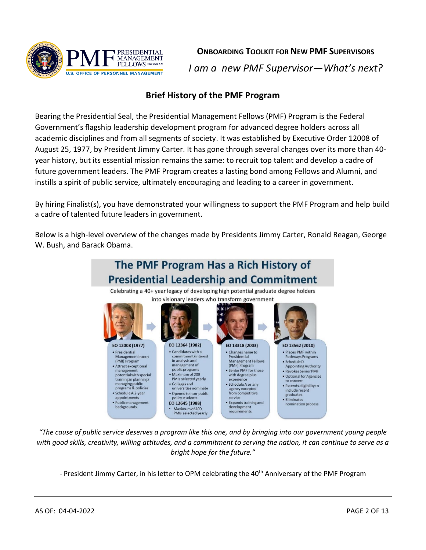

**ONBOARDING TOOLKIT FOR NEW PMF SUPERVISORS**

*I am a new PMF Supervisor—What's next?*

# **Brief History of the PMF Program**

<span id="page-1-0"></span>Bearing the Presidential Seal, the Presidential Management Fellows (PMF) Program is the Federal Government's flagship leadership development program for advanced degree holders across all academic disciplines and from all segments of society. It was established by Executive Order 12008 of August 25, 1977, by President Jimmy Carter. It has gone through several changes over its more than 40 year history, but its essential mission remains the same: to recruit top talent and develop a cadre of future government leaders. The PMF Program creates a lasting bond among Fellows and Alumni, and instills a spirit of public service, ultimately encouraging and leading to a career in government.

By hiring Finalist(s), you have demonstrated your willingness to support the PMF Program and help build a cadre of talented future leaders in government.

Below is a high-level overview of the changes made by Presidents Jimmy Carter, Ronald Reagan, George W. Bush, and Barack Obama.



*"The cause of public service deserves a program like this one, and by bringing into our government young people with good skills, creativity, willing attitudes, and a commitment to serving the nation, it can continue to serve as a bright hope for the future."*

- President Jimmy Carter, in his letter to OPM celebrating the 40<sup>th</sup> Anniversary of the PMF Program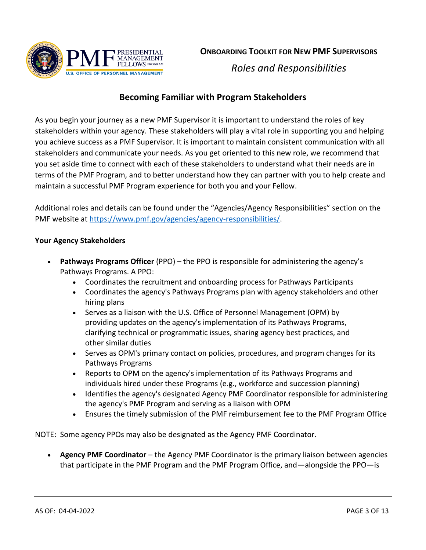

*Roles and Responsibilities*

# **Becoming Familiar with Program Stakeholders**

<span id="page-2-0"></span>As you begin your journey as a new PMF Supervisor it is important to understand the roles of key stakeholders within your agency. These stakeholders will play a vital role in supporting you and helping you achieve success as a PMF Supervisor. It is important to maintain consistent communication with all stakeholders and communicate your needs. As you get oriented to this new role, we recommend that you set aside time to connect with each of these stakeholders to understand what their needs are in terms of the PMF Program, and to better understand how they can partner with you to help create and maintain a successful PMF Program experience for both you and your Fellow.

Additional roles and details can be found under the "Agencies/Agency Responsibilities" section on the PMF website at [https://www.pmf.gov/agencies/agency-responsibilities/.](https://www.pmf.gov/agencies/agency-responsibilities/)

### **Your Agency Stakeholders**

- **Pathways Programs Officer** (PPO) the PPO is responsible for administering the agency's Pathways Programs. A PPO:
	- Coordinates the recruitment and onboarding process for Pathways Participants
	- Coordinates the agency's Pathways Programs plan with agency stakeholders and other hiring plans
	- Serves as a liaison with the U.S. Office of Personnel Management (OPM) by providing updates on the agency's implementation of its Pathways Programs, clarifying technical or programmatic issues, sharing agency best practices, and other similar duties
	- Serves as OPM's primary contact on policies, procedures, and program changes for its Pathways Programs
	- Reports to OPM on the agency's implementation of its Pathways Programs and individuals hired under these Programs (e.g., workforce and succession planning)
	- Identifies the agency's designated Agency PMF Coordinator responsible for administering the agency's PMF Program and serving as a liaison with OPM
	- Ensures the timely submission of the PMF reimbursement fee to the PMF Program Office

NOTE: Some agency PPOs may also be designated as the Agency PMF Coordinator.

• **Agency PMF Coordinator** – the Agency PMF Coordinator is the primary liaison between agencies that participate in the PMF Program and the PMF Program Office, and—alongside the PPO—is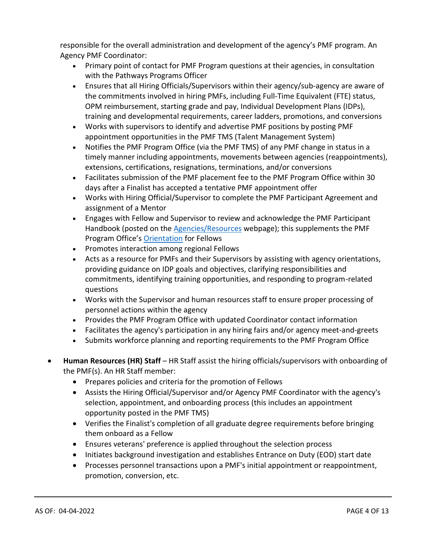responsible for the overall administration and development of the agency's PMF program. An Agency PMF Coordinator:

- Primary point of contact for PMF Program questions at their agencies, in consultation with the Pathways Programs Officer
- Ensures that all Hiring Officials/Supervisors within their agency/sub-agency are aware of the commitments involved in hiring PMFs, including Full-Time Equivalent (FTE) status, OPM reimbursement, starting grade and pay, Individual Development Plans (IDPs), training and developmental requirements, career ladders, promotions, and conversions
- Works with supervisors to identify and advertise PMF positions by posting PMF appointment opportunities in the PMF TMS (Talent Management System)
- Notifies the PMF Program Office (via the PMF TMS) of any PMF change in status in a timely manner including appointments, movements between agencies (reappointments), extensions, certifications, resignations, terminations, and/or conversions
- Facilitates submission of the PMF placement fee to the PMF Program Office within 30 days after a Finalist has accepted a tentative PMF appointment offer
- Works with Hiring Official/Supervisor to complete the PMF Participant Agreement and assignment of a Mentor
- Engages with Fellow and Supervisor to review and acknowledge the PMF Participant Handbook (posted on the [Agencies/Resources](https://www.pmf.gov/agencies/resources/) webpage); this supplements the PMF Program Office's [Orientation](https://www.pmf.gov/current-pmfs/owning-your-experience/orientation/) for Fellows
- Promotes interaction among regional Fellows
- Acts as a resource for PMFs and their Supervisors by assisting with agency orientations, providing guidance on IDP goals and objectives, clarifying responsibilities and commitments, identifying training opportunities, and responding to program-related questions
- Works with the Supervisor and human resources staff to ensure proper processing of personnel actions within the agency
- Provides the PMF Program Office with updated Coordinator contact information
- Facilitates the agency's participation in any hiring fairs and/or agency meet-and-greets
- Submits workforce planning and reporting requirements to the PMF Program Office
- **Human Resources (HR) Staff** HR Staff assist the hiring officials/supervisors with onboarding of the PMF(s). An HR Staff member:
	- Prepares policies and criteria for the promotion of Fellows
	- Assists the Hiring Official/Supervisor and/or Agency PMF Coordinator with the agency's selection, appointment, and onboarding process (this includes an appointment opportunity posted in the PMF TMS)
	- Verifies the Finalist's completion of all graduate degree requirements before bringing them onboard as a Fellow
	- Ensures veterans' preference is applied throughout the selection process
	- Initiates background investigation and establishes Entrance on Duty (EOD) start date
	- Processes personnel transactions upon a PMF's initial appointment or reappointment, promotion, conversion, etc.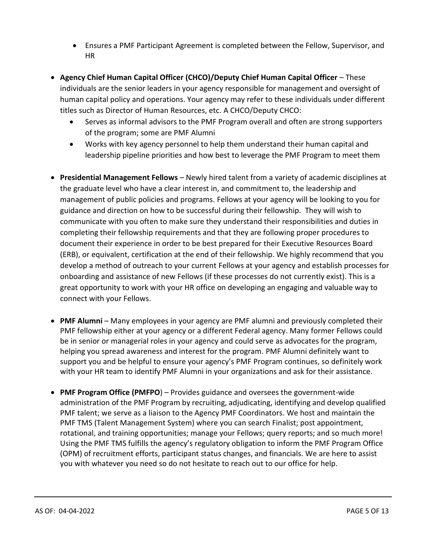- Ensures a PMF Participant Agreement is completed between the Fellow, Supervisor, and HR
- **Agency Chief Human Capital Officer (CHCO)/Deputy Chief Human Capital Officer** These individuals are the senior leaders in your agency responsible for management and oversight of human capital policy and operations. Your agency may refer to these individuals under different titles such as Director of Human Resources, etc. A CHCO/Deputy CHCO:
	- Serves as informal advisors to the PMF Program overall and often are strong supporters of the program; some are PMF Alumni
	- Works with key agency personnel to help them understand their human capital and leadership pipeline priorities and how best to leverage the PMF Program to meet them
- **Presidential Management Fellows** Newly hired talent from a variety of academic disciplines at the graduate level who have a clear interest in, and commitment to, the leadership and management of public policies and programs. Fellows at your agency will be looking to you for guidance and direction on how to be successful during their fellowship. They will wish to communicate with you often to make sure they understand their responsibilities and duties in completing their fellowship requirements and that they are following proper procedures to document their experience in order to be best prepared for their Executive Resources Board (ERB), or equivalent, certification at the end of their fellowship. We highly recommend that you develop a method of outreach to your current Fellows at your agency and establish processes for onboarding and assistance of new Fellows (if these processes do not currently exist). This is a great opportunity to work with your HR office on developing an engaging and valuable way to connect with your Fellows.
- **PMF Alumni** Many employees in your agency are PMF alumni and previously completed their PMF fellowship either at your agency or a different Federal agency. Many former Fellows could be in senior or managerial roles in your agency and could serve as advocates for the program, helping you spread awareness and interest for the program. PMF Alumni definitely want to support you and be helpful to ensure your agency's PMF Program continues, so definitely work with your HR team to identify PMF Alumni in your organizations and ask for their assistance.
- **PMF Program Office (PMFPO**) Provides guidance and oversees the government-wide administration of the PMF Program by recruiting, adjudicating, identifying and develop qualified PMF talent; we serve as a liaison to the Agency PMF Coordinators. We host and maintain the PMF TMS (Talent Management System) where you can search Finalist; post appointment, rotational, and training opportunities; manage your Fellows; query reports; and so much more! Using the PMF TMS fulfills the agency's regulatory obligation to inform the PMF Program Office (OPM) of recruitment efforts, participant status changes, and financials. We are here to assist you with whatever you need so do not hesitate to reach out to our office for help.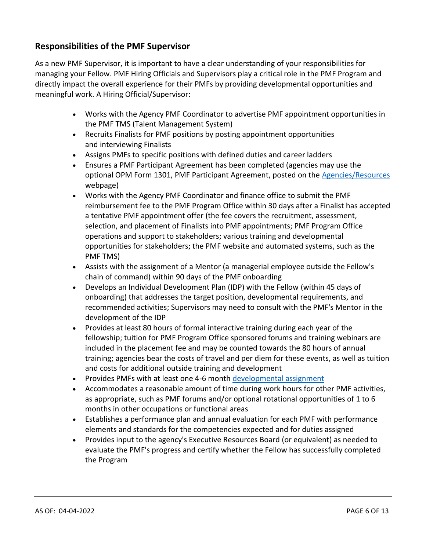# <span id="page-5-0"></span>**Responsibilities of the PMF Supervisor**

As a new PMF Supervisor, it is important to have a clear understanding of your responsibilities for managing your Fellow. PMF Hiring Officials and Supervisors play a critical role in the PMF Program and directly impact the overall experience for their PMFs by providing developmental opportunities and meaningful work. A Hiring Official/Supervisor:

- Works with the Agency PMF Coordinator to advertise PMF appointment opportunities in the PMF TMS (Talent Management System)
- Recruits Finalists for PMF positions by posting appointment opportunities and interviewing Finalists
- Assigns PMFs to specific positions with defined duties and career ladders
- Ensures a PMF Participant Agreement has been completed (agencies may use the optional OPM Form 1301, PMF Participant Agreement, posted on the [Agencies/Resources](https://www.pmf.gov/agencies/resources/) webpage)
- Works with the Agency PMF Coordinator and finance office to submit the PMF reimbursement fee to the PMF Program Office within 30 days after a Finalist has accepted a tentative PMF appointment offer (the fee covers the recruitment, assessment, selection, and placement of Finalists into PMF appointments; PMF Program Office operations and support to stakeholders; various training and developmental opportunities for stakeholders; the PMF website and automated systems, such as the PMF TMS)
- Assists with the assignment of a Mentor (a managerial employee outside the Fellow's chain of command) within 90 days of the PMF onboarding
- Develops an Individual Development Plan (IDP) with the Fellow (within 45 days of onboarding) that addresses the target position, developmental requirements, and recommended activities; Supervisors may need to consult with the PMF's Mentor in the development of the IDP
- Provides at least 80 hours of formal interactive training during each year of the fellowship; tuition for PMF Program Office sponsored forums and training webinars are included in the placement fee and may be counted towards the 80 hours of annual training; agencies bear the costs of travel and per diem for these events, as well as tuition and costs for additional outside training and development
- Provides PMFs with at least one 4-6 month [developmental assignment](https://www.pmf.gov/current-pmfs/training-and-development/rotational-opportunities/)
- Accommodates a reasonable amount of time during work hours for other PMF activities, as appropriate, such as PMF forums and/or optional rotational opportunities of 1 to 6 months in other occupations or functional areas
- Establishes a performance plan and annual evaluation for each PMF with performance elements and standards for the competencies expected and for duties assigned
- Provides input to the agency's Executive Resources Board (or equivalent) as needed to evaluate the PMF's progress and certify whether the Fellow has successfully completed the Program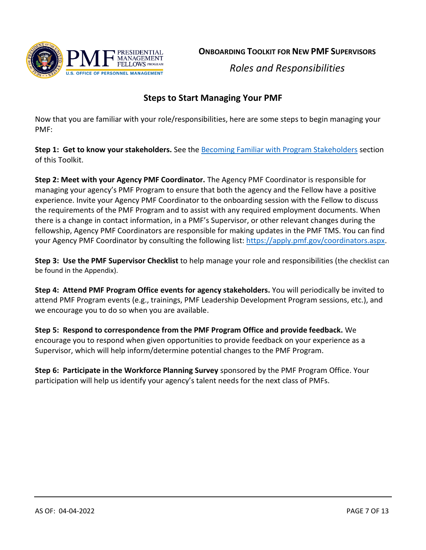

**ONBOARDING TOOLKIT FOR NEW PMF SUPERVISORS**

*Roles and Responsibilities*

# **Steps to Start Managing Your PMF**

<span id="page-6-0"></span>Now that you are familiar with your role/responsibilities, here are some steps to begin managing your PMF:

**Step 1: Get to know your stakeholders.** See the [Becoming Familiar with Program](#page-2-0) Stakeholders section of this Toolkit.

**Step 2: Meet with your Agency PMF Coordinator.** The Agency PMF Coordinator is responsible for managing your agency's PMF Program to ensure that both the agency and the Fellow have a positive experience. Invite your Agency PMF Coordinator to the onboarding session with the Fellow to discuss the requirements of the PMF Program and to assist with any required employment documents. When there is a change in contact information, in a PMF's Supervisor, or other relevant changes during the fellowship, Agency PMF Coordinators are responsible for making updates in the PMF TMS. You can find your Agency PMF Coordinator by consulting the following list: [https://apply.pmf.gov/coordinators.aspx.](https://apply.pmf.gov/coordinators.aspx)

**Step 3: Use the PMF Supervisor Checklist** to help manage your role and responsibilities (the checklist can be found in the Appendix).

**Step 4: Attend PMF Program Office events for agency stakeholders.** You will periodically be invited to attend PMF Program events (e.g., trainings, PMF Leadership Development Program sessions, etc.), and we encourage you to do so when you are available.

**Step 5: Respond to correspondence from the PMF Program Office and provide feedback.** We encourage you to respond when given opportunities to provide feedback on your experience as a Supervisor, which will help inform/determine potential changes to the PMF Program.

**Step 6: Participate in the Workforce Planning Survey** sponsored by the PMF Program Office. Your participation will help us identify your agency's talent needs for the next class of PMFs.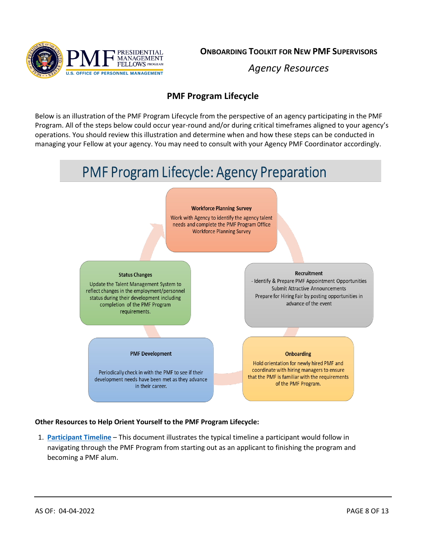

**ONBOARDING TOOLKIT FOR NEW PMF SUPERVISORS**

*Agency Resources*

# **PMF Program Lifecycle**

<span id="page-7-0"></span>Below is an illustration of the PMF Program Lifecycle from the perspective of an agency participating in the PMF Program. All of the steps below could occur year-round and/or during critical timeframes aligned to your agency's operations. You should review this illustration and determine when and how these steps can be conducted in managing your Fellow at your agency. You may need to consult with your Agency PMF Coordinator accordingly.

# **PMF Program Lifecycle: Agency Preparation**

#### **Workforce Planning Survey**

Work with Agency to identify the agency talent needs and complete the PMF Program Office **Workforce Planning Survey** 

#### **Status Changes**

Update the Talent Management System to reflect changes in the employment/personnel status during their development including completion of the PMF Program requirements.

#### **PMF Development**

Periodically check in with the PMF to see if their development needs have been met as they advance in their career.

Recruitment

- Identify & Prepare PMF Appointment Opportunities Submit Attractive Announcements Prepare for Hiring Fair by posting opportunities in advance of the event

#### **Onboarding**

Hold orientation for newly hired PMF and coordinate with hiring managers to ensure that the PMF is familiar with the requirements of the PMF Program.

### **Other Resources to Help Orient Yourself to the PMF Program Lifecycle:**

1. **[Participant Timeline](https://www.pmf.gov/media/j2hiwe1h/pmfp-participant-timeline-07-02-2021.pdf)** – This document illustrates the typical timeline a participant would follow in navigating through the PMF Program from starting out as an applicant to finishing the program and becoming a PMF alum.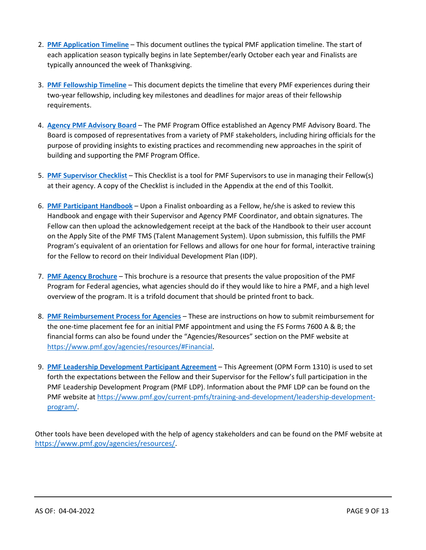- 2. **[PMF Application Timeline](https://www.pmf.gov/media/wjyd2rxf/pmf-application-timeline-07-02-2021.pdf)** This document outlines the typical PMF application timeline. The start of each application season typically begins in late September/early October each year and Finalists are typically announced the week of Thanksgiving.
- 3. **[PMF Fellowship Timeline](https://www.pmf.gov/media/5566544/pmf-fellowship-timeline-08-27-19.pdf)** This document depicts the timeline that every PMF experiences during their two-year fellowship, including key milestones and deadlines for major areas of their fellowship requirements.
- 4. **[Agency PMF Advisory Board](https://www.pmf.gov/agencies/agency-responsibilities/agency-pmf-advisory-board/)** The PMF Program Office established an Agency PMF Advisory Board. The Board is composed of representatives from a variety of PMF stakeholders, including hiring officials for the purpose of providing insights to existing practices and recommending new approaches in the spirit of building and supporting the PMF Program Office.
- 5. **[PMF Supervisor Checklist](https://www.pmf.gov/media/jmabisfe/pmf-supervisor-checklist-04-04-2022.pdf)** This Checklist is a tool for PMF Supervisors to use in managing their Fellow(s) at their agency. A copy of the Checklist is included in the Appendix at the end of this Toolkit.
- 6. **[PMF Participant Handbook](https://www.pmf.gov/media/5730578/pmf-participant-handbook-06-2021.pdf)** Upon a Finalist onboarding as a Fellow, he/she is asked to review this Handbook and engage with their Supervisor and Agency PMF Coordinator, and obtain signatures. The Fellow can then upload the acknowledgement receipt at the back of the Handbook to their user account on the Apply Site of the PMF TMS (Talent Management System). Upon submission, this fulfills the PMF Program's equivalent of an orientation for Fellows and allows for one hour for formal, interactive training for the Fellow to record on their Individual Development Plan (IDP).
- 7. **[PMF Agency Brochure](https://www.pmf.gov/media/rpomxbkw/pmf-agency-brochure-11-2021.pdf)** This brochure is a resource that presents the value proposition of the PMF Program for Federal agencies, what agencies should do if they would like to hire a PMF, and a high level overview of the program. It is a trifold document that should be printed front to back.
- 8. **[PMF Reimbursement Process for Agencies](https://www.pmf.gov/agencies/resources/#Financial)** These are instructions on how to submit reimbursement for the one-time placement fee for an initial PMF appointment and using the FS Forms 7600 A & B; the financial forms can also be found under the "Agencies/Resources" section on the PMF website at [https://www.pmf.gov/agencies/resources/#Financial.](https://www.pmf.gov/agencies/resources/#Financial)
- 9. **PMF Leadership Development [Participant](https://www.pmf.gov/media/opqhqdys/opm-form-1310-pmf-ldp-participant-agreement-02-2022-final.pdf) Agreement** This Agreement (OPM Form 1310) is used to set forth the expectations between the Fellow and their Supervisor for the Fellow's full participation in the PMF Leadership Development Program (PMF LDP). Information about the PMF LDP can be found on the PMF website a[t https://www.pmf.gov/current-pmfs/training-and-development/leadership-development](https://www.pmf.gov/current-pmfs/training-and-development/leadership-development-program/)[program/.](https://www.pmf.gov/current-pmfs/training-and-development/leadership-development-program/)

Other tools have been developed with the help of agency stakeholders and can be found on the PMF website at [https://www.pmf.gov/agencies/resources/.](https://www.pmf.gov/agencies/resources/)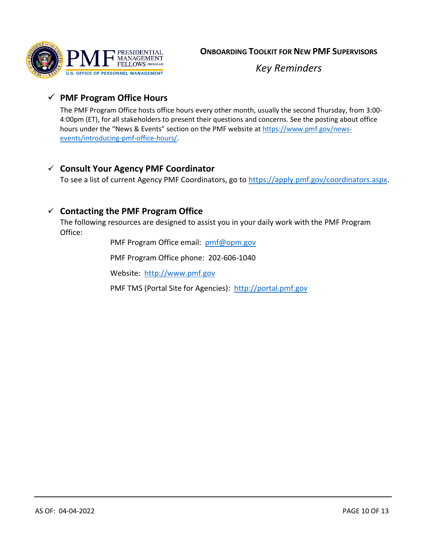

*Key Reminders*

# <span id="page-9-0"></span>✓ **PMF Program Office Hours**

The PMF Program Office hosts office hours every other month, usually the second Thursday, from 3:00- 4:00pm (ET), for all stakeholders to present their questions and concerns. See the posting about office hours under the "News & Events" section on the PMF website at [https://www.pmf.gov/news](https://www.pmf.gov/news-events/introducing-pmf-office-hours/)[events/introducing-pmf-office-hours/.](https://www.pmf.gov/news-events/introducing-pmf-office-hours/)

# <span id="page-9-2"></span>✓ **Consult Your Agency PMF Coordinator**

To see a list of current Agency PMF Coordinators, go to [https://apply.pmf.gov/coordinators.aspx.](https://apply.pmf.gov/coordinators.aspx)

## <span id="page-9-1"></span>✓ **Contacting the PMF Program Office**

The following resources are designed to assist you in your daily work with the PMF Program Office:

PMF Program Office email: [pmf@opm.gov](mailto:pmf@opm.gov)

PMF Program Office phone: 202-606-1040

Website: [http://www.pmf.gov](http://www.pmf.gov/)

PMF TMS (Portal Site for Agencies): [http://portal.pmf.gov](http://portal.pmf.gov/)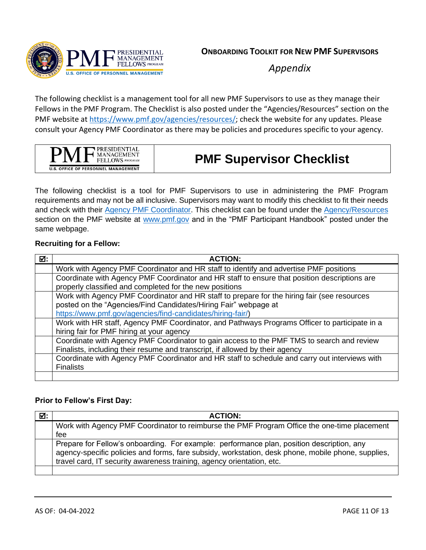

*Appendix*

The following checklist is a management tool for all new PMF Supervisors to use as they manage their Fellows in the PMF Program. The Checklist is also posted under the "Agencies/Resources" section on the PMF website at [https://www.pmf.gov/agencies/resources/;](https://www.pmf.gov/agencies/resources/) check the website for any updates. Please consult your Agency PMF Coordinator as there may be policies and procedures specific to your agency.

| <b>PRESIDENTIAL</b><br>MANAGEMENT<br>FELLOWS PROGRAM |
|------------------------------------------------------|
| <b>U.S. OFFICE OF PERSONNEL MANAGEMENT</b>           |

# **PMF Supervisor Checklist**

The following checklist is a tool for PMF Supervisors to use in administering the PMF Program requirements and may not be all inclusive. Supervisors may want to modify this checklist to fit their needs and check with their [Agency PMF Coordinator.](https://apply.pmf.gov/coordinators.aspx) This checklist can be found under the [Agency/Resources](https://www.pmf.gov/agencies/resources/) section on the PMF website at [www.pmf.gov](http://www.pmf.gov/) and in the "PMF Participant Handbook" posted under the same webpage.

### **Recruiting for a Fellow:**

| ☑: | <b>ACTION:</b>                                                                                |
|----|-----------------------------------------------------------------------------------------------|
|    | Work with Agency PMF Coordinator and HR staff to identify and advertise PMF positions         |
|    | Coordinate with Agency PMF Coordinator and HR staff to ensure that position descriptions are  |
|    | properly classified and completed for the new positions                                       |
|    | Work with Agency PMF Coordinator and HR staff to prepare for the hiring fair (see resources   |
|    | posted on the "Agencies/Find Candidates/Hiring Fair" webpage at                               |
|    | https://www.pmf.gov/agencies/find-candidates/hiring-fair/)                                    |
|    | Work with HR staff, Agency PMF Coordinator, and Pathways Programs Officer to participate in a |
|    | hiring fair for PMF hiring at your agency                                                     |
|    | Coordinate with Agency PMF Coordinator to gain access to the PMF TMS to search and review     |
|    | Finalists, including their resume and transcript, if allowed by their agency                  |
|    | Coordinate with Agency PMF Coordinator and HR staff to schedule and carry out interviews with |
|    | <b>Finalists</b>                                                                              |
|    |                                                                                               |

### **Prior to Fellow's First Day:**

| ☑: | <b>ACTION:</b>                                                                                                                                                                                  |
|----|-------------------------------------------------------------------------------------------------------------------------------------------------------------------------------------------------|
|    | Work with Agency PMF Coordinator to reimburse the PMF Program Office the one-time placement                                                                                                     |
|    | fee                                                                                                                                                                                             |
|    | Prepare for Fellow's onboarding. For example: performance plan, position description, any<br>agency-specific policies and forms, fare subsidy, workstation, desk phone, mobile phone, supplies, |
|    | travel card, IT security awareness training, agency orientation, etc.                                                                                                                           |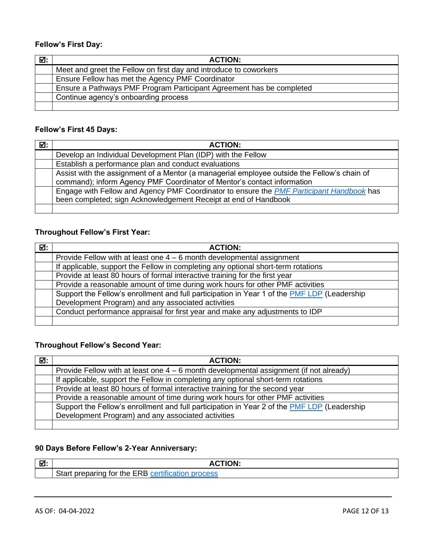### **Fellow's First Day:**

| ☑: | <b>ACTION:</b>                                                       |
|----|----------------------------------------------------------------------|
|    | Meet and greet the Fellow on first day and introduce to coworkers    |
|    | Ensure Fellow has met the Agency PMF Coordinator                     |
|    | Ensure a Pathways PMF Program Participant Agreement has be completed |
|    | Continue agency's onboarding process                                 |
|    |                                                                      |

### **Fellow's First 45 Days:**

| ☑: | <b>ACTION:</b>                                                                                                                                                         |
|----|------------------------------------------------------------------------------------------------------------------------------------------------------------------------|
|    | Develop an Individual Development Plan (IDP) with the Fellow                                                                                                           |
|    | Establish a performance plan and conduct evaluations                                                                                                                   |
|    | Assist with the assignment of a Mentor (a managerial employee outside the Fellow's chain of<br>command); inform Agency PMF Coordinator of Mentor's contact information |
|    | Engage with Fellow and Agency PMF Coordinator to ensure the PMF Participant Handbook has<br>been completed; sign Acknowledgement Receipt at end of Handbook            |
|    |                                                                                                                                                                        |

## **Throughout Fellow's First Year:**

| ☑: | <b>ACTION:</b>                                                                              |
|----|---------------------------------------------------------------------------------------------|
|    | Provide Fellow with at least one $4 - 6$ month developmental assignment                     |
|    | If applicable, support the Fellow in completing any optional short-term rotations           |
|    | Provide at least 80 hours of formal interactive training for the first year                 |
|    | Provide a reasonable amount of time during work hours for other PMF activities              |
|    | Support the Fellow's enrollment and full participation in Year 1 of the PMF LDP (Leadership |
|    | Development Program) and any associated activities                                          |
|    | Conduct performance appraisal for first year and make any adjustments to IDP                |
|    |                                                                                             |

# **Throughout Fellow's Second Year:**

| ☑: | <b>ACTION:</b>                                                                                     |
|----|----------------------------------------------------------------------------------------------------|
|    | Provide Fellow with at least one $4 - 6$ month developmental assignment (if not already)           |
|    | If applicable, support the Fellow in completing any optional short-term rotations                  |
|    | Provide at least 80 hours of formal interactive training for the second year                       |
|    | Provide a reasonable amount of time during work hours for other PMF activities                     |
|    | Support the Fellow's enrollment and full participation in Year 2 of the <b>PMF LDP</b> (Leadership |
|    | Development Program) and any associated activities                                                 |
|    |                                                                                                    |

### **90 Days Before Fellow's 2-Year Anniversary:**

| ☑. |                                                                         |
|----|-------------------------------------------------------------------------|
|    | 1.1.01<br>for the ERB cert<br><b>Start</b><br>nrenaring<br>process<br>, |